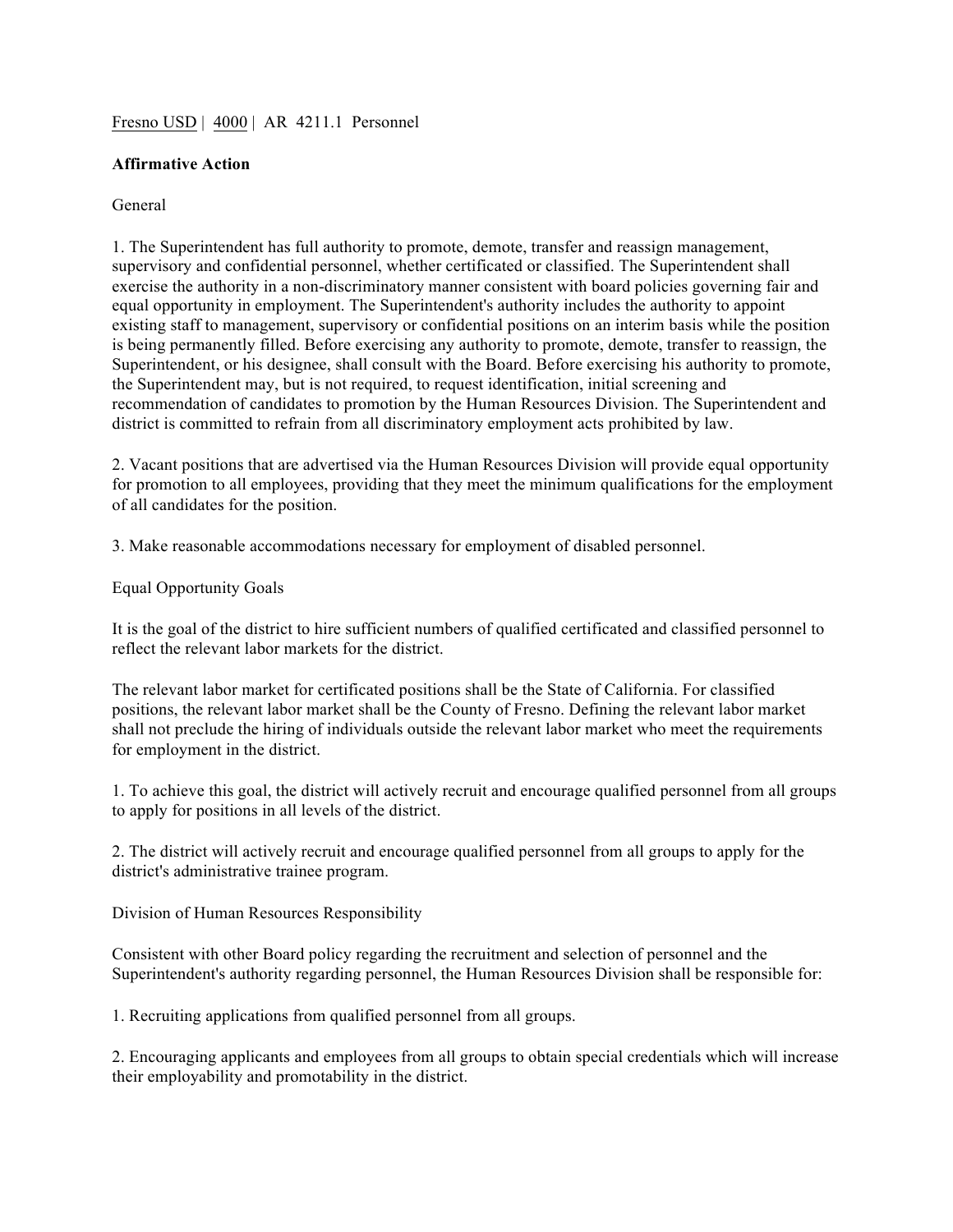## Fresno USD | 4000 | AR 4211.1 Personnel

## **Affirmative Action**

## General

1. The Superintendent has full authority to promote, demote, transfer and reassign management, supervisory and confidential personnel, whether certificated or classified. The Superintendent shall exercise the authority in a non-discriminatory manner consistent with board policies governing fair and equal opportunity in employment. The Superintendent's authority includes the authority to appoint existing staff to management, supervisory or confidential positions on an interim basis while the position is being permanently filled. Before exercising any authority to promote, demote, transfer to reassign, the Superintendent, or his designee, shall consult with the Board. Before exercising his authority to promote, the Superintendent may, but is not required, to request identification, initial screening and recommendation of candidates to promotion by the Human Resources Division. The Superintendent and district is committed to refrain from all discriminatory employment acts prohibited by law.

2. Vacant positions that are advertised via the Human Resources Division will provide equal opportunity for promotion to all employees, providing that they meet the minimum qualifications for the employment of all candidates for the position.

3. Make reasonable accommodations necessary for employment of disabled personnel.

Equal Opportunity Goals

It is the goal of the district to hire sufficient numbers of qualified certificated and classified personnel to reflect the relevant labor markets for the district.

The relevant labor market for certificated positions shall be the State of California. For classified positions, the relevant labor market shall be the County of Fresno. Defining the relevant labor market shall not preclude the hiring of individuals outside the relevant labor market who meet the requirements for employment in the district.

1. To achieve this goal, the district will actively recruit and encourage qualified personnel from all groups to apply for positions in all levels of the district.

2. The district will actively recruit and encourage qualified personnel from all groups to apply for the district's administrative trainee program.

Division of Human Resources Responsibility

Consistent with other Board policy regarding the recruitment and selection of personnel and the Superintendent's authority regarding personnel, the Human Resources Division shall be responsible for:

1. Recruiting applications from qualified personnel from all groups.

2. Encouraging applicants and employees from all groups to obtain special credentials which will increase their employability and promotability in the district.